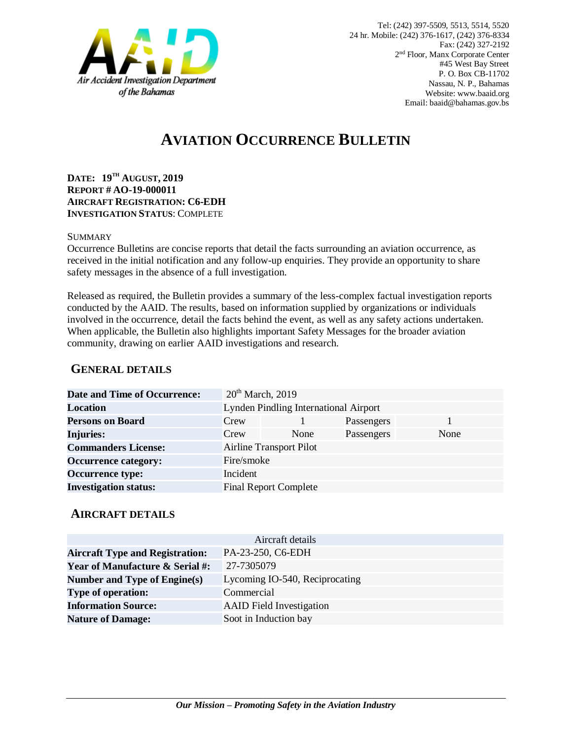

# **AVIATION OCCURRENCE BULLETIN**

**DATE: 19TH AUGUST, 2019 REPORT # AO-19-000011 AIRCRAFT REGISTRATION: C6-EDH INVESTIGATION STATUS**: COMPLETE

#### SUMMARY

Occurrence Bulletins are concise reports that detail the facts surrounding an aviation occurrence, as received in the initial notification and any follow-up enquiries. They provide an opportunity to share safety messages in the absence of a full investigation*.*

Released as required, the Bulletin provides a summary of the less-complex factual investigation reports conducted by the AAID. The results, based on information supplied by organizations or individuals involved in the occurrence, detail the facts behind the event, as well as any safety actions undertaken. When applicable, the Bulletin also highlights important Safety Messages for the broader aviation community, drawing on earlier AAID investigations and research.

### **GENERAL DETAILS**

| <b>Date and Time of Occurrence:</b> |                                       | $20th$ March, 2019           |            |      |
|-------------------------------------|---------------------------------------|------------------------------|------------|------|
| Location                            | Lynden Pindling International Airport |                              |            |      |
| <b>Persons on Board</b>             | Crew                                  |                              | Passengers |      |
| <b>Injuries:</b>                    | Crew                                  | None                         | Passengers | None |
| <b>Commanders License:</b>          | <b>Airline Transport Pilot</b>        |                              |            |      |
| <b>Occurrence category:</b>         | Fire/smoke                            |                              |            |      |
| <b>Occurrence type:</b>             | Incident                              |                              |            |      |
| <b>Investigation status:</b>        |                                       | <b>Final Report Complete</b> |            |      |

#### **AIRCRAFT DETAILS**

|                                            | Aircraft details                |
|--------------------------------------------|---------------------------------|
| <b>Aircraft Type and Registration:</b>     | PA-23-250, C6-EDH               |
| <b>Year of Manufacture &amp; Serial #:</b> | 27-7305079                      |
| Number and Type of Engine(s)               | Lycoming IO-540, Reciprocating  |
| <b>Type of operation:</b>                  | Commercial                      |
| <b>Information Source:</b>                 | <b>AAID</b> Field Investigation |
| <b>Nature of Damage:</b>                   | Soot in Induction bay           |